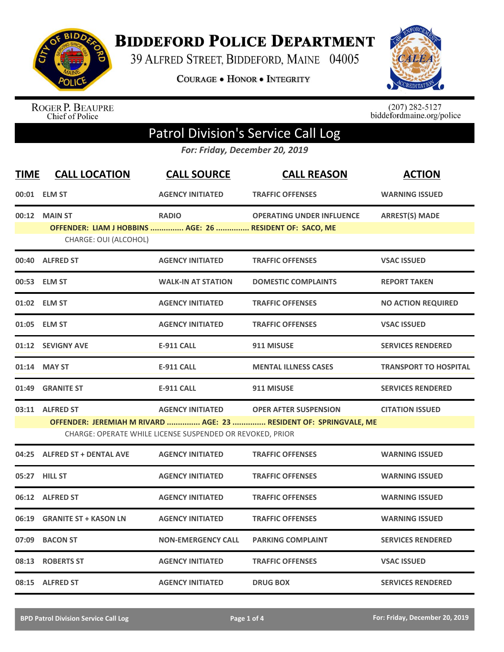

**BIDDEFORD POLICE DEPARTMENT** 

39 ALFRED STREET, BIDDEFORD, MAINE 04005

**COURAGE . HONOR . INTEGRITY** 



ROGER P. BEAUPRE<br>Chief of Police

 $(207)$  282-5127<br>biddefordmaine.org/police

## Patrol Division's Service Call Log

*For: Friday, December 20, 2019*

| <b>TIME</b> | <b>CALL LOCATION</b>                                                                               | <b>CALL SOURCE</b>                                                                   | <b>CALL REASON</b>                                                                                | <b>ACTION</b>                |
|-------------|----------------------------------------------------------------------------------------------------|--------------------------------------------------------------------------------------|---------------------------------------------------------------------------------------------------|------------------------------|
|             | 00:01 ELM ST                                                                                       | <b>AGENCY INITIATED</b>                                                              | <b>TRAFFIC OFFENSES</b>                                                                           | <b>WARNING ISSUED</b>        |
|             | 00:12 MAIN ST<br>OFFENDER: LIAM J HOBBINS  AGE: 26  RESIDENT OF: SACO, ME<br>CHARGE: OUI (ALCOHOL) | <b>RADIO</b>                                                                         | <b>OPERATING UNDER INFLUENCE</b>                                                                  | <b>ARREST(S) MADE</b>        |
|             | 00:40 ALFRED ST                                                                                    | <b>AGENCY INITIATED</b>                                                              | <b>TRAFFIC OFFENSES</b>                                                                           | <b>VSAC ISSUED</b>           |
|             | 00:53 ELM ST                                                                                       | <b>WALK-IN AT STATION</b>                                                            | <b>DOMESTIC COMPLAINTS</b>                                                                        | <b>REPORT TAKEN</b>          |
|             | 01:02 ELM ST                                                                                       | <b>AGENCY INITIATED</b>                                                              | <b>TRAFFIC OFFENSES</b>                                                                           | <b>NO ACTION REQUIRED</b>    |
|             | 01:05 ELM ST                                                                                       | <b>AGENCY INITIATED</b>                                                              | <b>TRAFFIC OFFENSES</b>                                                                           | <b>VSAC ISSUED</b>           |
|             | 01:12 SEVIGNY AVE                                                                                  | <b>E-911 CALL</b>                                                                    | 911 MISUSE                                                                                        | <b>SERVICES RENDERED</b>     |
|             | 01:14 MAY ST                                                                                       | <b>E-911 CALL</b>                                                                    | <b>MENTAL ILLNESS CASES</b>                                                                       | <b>TRANSPORT TO HOSPITAL</b> |
|             | 01:49 GRANITE ST                                                                                   | <b>E-911 CALL</b>                                                                    | 911 MISUSE                                                                                        | <b>SERVICES RENDERED</b>     |
|             | 03:11 ALFRED ST                                                                                    | <b>AGENCY INITIATED</b><br>CHARGE: OPERATE WHILE LICENSE SUSPENDED OR REVOKED, PRIOR | <b>OPER AFTER SUSPENSION</b><br>OFFENDER: JEREMIAH M RIVARD  AGE: 23  RESIDENT OF: SPRINGVALE, ME | <b>CITATION ISSUED</b>       |
|             | 04:25 ALFRED ST + DENTAL AVE                                                                       | <b>AGENCY INITIATED</b>                                                              | <b>TRAFFIC OFFENSES</b>                                                                           | <b>WARNING ISSUED</b>        |
|             | 05:27 HILL ST                                                                                      | <b>AGENCY INITIATED</b>                                                              | <b>TRAFFIC OFFENSES</b>                                                                           | <b>WARNING ISSUED</b>        |
|             | 06:12 ALFRED ST                                                                                    | <b>AGENCY INITIATED</b>                                                              | <b>TRAFFIC OFFENSES</b>                                                                           | <b>WARNING ISSUED</b>        |
|             | 06:19 GRANITE ST + KASON LN                                                                        | <b>AGENCY INITIATED</b>                                                              | <b>TRAFFIC OFFENSES</b>                                                                           | <b>WARNING ISSUED</b>        |
| 07:09       | <b>BACON ST</b>                                                                                    | <b>NON-EMERGENCY CALL</b>                                                            | <b>PARKING COMPLAINT</b>                                                                          | <b>SERVICES RENDERED</b>     |
|             | 08:13 ROBERTS ST                                                                                   | <b>AGENCY INITIATED</b>                                                              | <b>TRAFFIC OFFENSES</b>                                                                           | <b>VSAC ISSUED</b>           |
|             | 08:15 ALFRED ST                                                                                    | <b>AGENCY INITIATED</b>                                                              | <b>DRUG BOX</b>                                                                                   | <b>SERVICES RENDERED</b>     |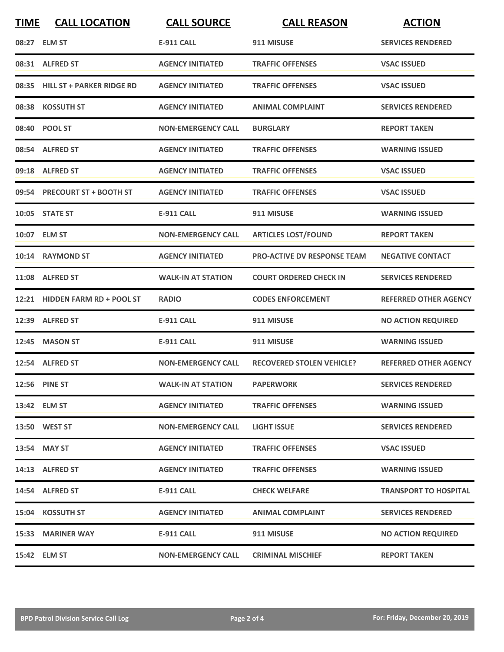| <b>TIME</b> | <b>CALL LOCATION</b>            | <b>CALL SOURCE</b>        | <b>CALL REASON</b>                 | <b>ACTION</b>                |
|-------------|---------------------------------|---------------------------|------------------------------------|------------------------------|
|             | 08:27 ELM ST                    | <b>E-911 CALL</b>         | 911 MISUSE                         | <b>SERVICES RENDERED</b>     |
|             | 08:31 ALFRED ST                 | <b>AGENCY INITIATED</b>   | <b>TRAFFIC OFFENSES</b>            | <b>VSAC ISSUED</b>           |
|             | 08:35 HILL ST + PARKER RIDGE RD | <b>AGENCY INITIATED</b>   | <b>TRAFFIC OFFENSES</b>            | <b>VSAC ISSUED</b>           |
|             | 08:38 KOSSUTH ST                | <b>AGENCY INITIATED</b>   | <b>ANIMAL COMPLAINT</b>            | <b>SERVICES RENDERED</b>     |
|             | 08:40 POOL ST                   | <b>NON-EMERGENCY CALL</b> | <b>BURGLARY</b>                    | <b>REPORT TAKEN</b>          |
|             | 08:54 ALFRED ST                 | <b>AGENCY INITIATED</b>   | <b>TRAFFIC OFFENSES</b>            | <b>WARNING ISSUED</b>        |
|             | 09:18 ALFRED ST                 | <b>AGENCY INITIATED</b>   | <b>TRAFFIC OFFENSES</b>            | <b>VSAC ISSUED</b>           |
|             | 09:54 PRECOURT ST + BOOTH ST    | <b>AGENCY INITIATED</b>   | <b>TRAFFIC OFFENSES</b>            | <b>VSAC ISSUED</b>           |
|             | 10:05 STATE ST                  | <b>E-911 CALL</b>         | 911 MISUSE                         | <b>WARNING ISSUED</b>        |
|             | 10:07 ELM ST                    | <b>NON-EMERGENCY CALL</b> | <b>ARTICLES LOST/FOUND</b>         | <b>REPORT TAKEN</b>          |
|             | 10:14 RAYMOND ST                | <b>AGENCY INITIATED</b>   | <b>PRO-ACTIVE DV RESPONSE TEAM</b> | <b>NEGATIVE CONTACT</b>      |
|             | 11:08 ALFRED ST                 | <b>WALK-IN AT STATION</b> | <b>COURT ORDERED CHECK IN</b>      | <b>SERVICES RENDERED</b>     |
| 12:21       | <b>HIDDEN FARM RD + POOL ST</b> | <b>RADIO</b>              | <b>CODES ENFORCEMENT</b>           | <b>REFERRED OTHER AGENCY</b> |
| 12:39       | <b>ALFRED ST</b>                | <b>E-911 CALL</b>         | 911 MISUSE                         | <b>NO ACTION REQUIRED</b>    |
|             | 12:45 MASON ST                  | <b>E-911 CALL</b>         | 911 MISUSE                         | <b>WARNING ISSUED</b>        |
|             | 12:54 ALFRED ST                 | <b>NON-EMERGENCY CALL</b> | <b>RECOVERED STOLEN VEHICLE?</b>   | <b>REFERRED OTHER AGENCY</b> |
|             | 12:56 PINE ST                   | <b>WALK-IN AT STATION</b> | <b>PAPERWORK</b>                   | <b>SERVICES RENDERED</b>     |
|             | 13:42 ELM ST                    | <b>AGENCY INITIATED</b>   | <b>TRAFFIC OFFENSES</b>            | <b>WARNING ISSUED</b>        |
|             | 13:50 WEST ST                   | <b>NON-EMERGENCY CALL</b> | <b>LIGHT ISSUE</b>                 | <b>SERVICES RENDERED</b>     |
|             | 13:54 MAY ST                    | <b>AGENCY INITIATED</b>   | <b>TRAFFIC OFFENSES</b>            | <b>VSAC ISSUED</b>           |
|             | 14:13 ALFRED ST                 | <b>AGENCY INITIATED</b>   | <b>TRAFFIC OFFENSES</b>            | <b>WARNING ISSUED</b>        |
|             | 14:54 ALFRED ST                 | E-911 CALL                | <b>CHECK WELFARE</b>               | <b>TRANSPORT TO HOSPITAL</b> |
|             | 15:04 KOSSUTH ST                | <b>AGENCY INITIATED</b>   | <b>ANIMAL COMPLAINT</b>            | <b>SERVICES RENDERED</b>     |
|             | 15:33 MARINER WAY               | <b>E-911 CALL</b>         | 911 MISUSE                         | <b>NO ACTION REQUIRED</b>    |
|             | 15:42 ELM ST                    | <b>NON-EMERGENCY CALL</b> | <b>CRIMINAL MISCHIEF</b>           | <b>REPORT TAKEN</b>          |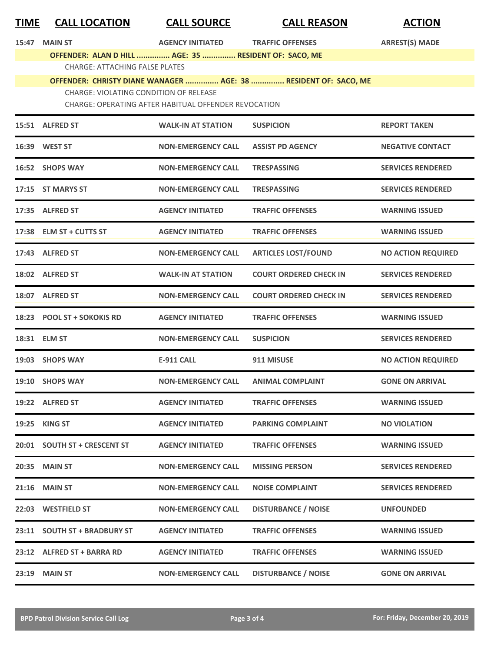| <b>TIME</b> | <b>CALL LOCATION</b>                                  | <b>CALL SOURCE</b>        | <b>CALL REASON</b>                                              | <b>ACTION</b>             |  |  |
|-------------|-------------------------------------------------------|---------------------------|-----------------------------------------------------------------|---------------------------|--|--|
| 15:47       | <b>MAIN ST</b>                                        | <b>AGENCY INITIATED</b>   | <b>TRAFFIC OFFENSES</b>                                         | <b>ARREST(S) MADE</b>     |  |  |
|             | OFFENDER: ALAN D HILL  AGE: 35  RESIDENT OF: SACO, ME |                           |                                                                 |                           |  |  |
|             | <b>CHARGE: ATTACHING FALSE PLATES</b>                 |                           | OFFENDER: CHRISTY DIANE WANAGER  AGE: 38  RESIDENT OF: SACO, ME |                           |  |  |
|             | <b>CHARGE: VIOLATING CONDITION OF RELEASE</b>         |                           |                                                                 |                           |  |  |
|             | CHARGE: OPERATING AFTER HABITUAL OFFENDER REVOCATION  |                           |                                                                 |                           |  |  |
|             | 15:51 ALFRED ST                                       | <b>WALK-IN AT STATION</b> | <b>SUSPICION</b>                                                | <b>REPORT TAKEN</b>       |  |  |
|             | 16:39 WEST ST                                         | <b>NON-EMERGENCY CALL</b> | <b>ASSIST PD AGENCY</b>                                         | <b>NEGATIVE CONTACT</b>   |  |  |
|             | 16:52 SHOPS WAY                                       | <b>NON-EMERGENCY CALL</b> | <b>TRESPASSING</b>                                              | <b>SERVICES RENDERED</b>  |  |  |
|             | 17:15 ST MARYS ST                                     | <b>NON-EMERGENCY CALL</b> | <b>TRESPASSING</b>                                              | <b>SERVICES RENDERED</b>  |  |  |
|             | 17:35 ALFRED ST                                       | <b>AGENCY INITIATED</b>   | <b>TRAFFIC OFFENSES</b>                                         | <b>WARNING ISSUED</b>     |  |  |
|             | 17:38 ELM ST + CUTTS ST                               | <b>AGENCY INITIATED</b>   | <b>TRAFFIC OFFENSES</b>                                         | <b>WARNING ISSUED</b>     |  |  |
|             | 17:43 ALFRED ST                                       | <b>NON-EMERGENCY CALL</b> | <b>ARTICLES LOST/FOUND</b>                                      | <b>NO ACTION REQUIRED</b> |  |  |
|             | 18:02 ALFRED ST                                       | <b>WALK-IN AT STATION</b> | <b>COURT ORDERED CHECK IN</b>                                   | <b>SERVICES RENDERED</b>  |  |  |
|             | 18:07 ALFRED ST                                       | <b>NON-EMERGENCY CALL</b> | <b>COURT ORDERED CHECK IN</b>                                   | <b>SERVICES RENDERED</b>  |  |  |
|             | 18:23 POOL ST + SOKOKIS RD                            | <b>AGENCY INITIATED</b>   | <b>TRAFFIC OFFENSES</b>                                         | <b>WARNING ISSUED</b>     |  |  |
|             | 18:31 ELM ST                                          | <b>NON-EMERGENCY CALL</b> | <b>SUSPICION</b>                                                | <b>SERVICES RENDERED</b>  |  |  |
|             | 19:03 SHOPS WAY                                       | <b>E-911 CALL</b>         | 911 MISUSE                                                      | <b>NO ACTION REQUIRED</b> |  |  |
|             | 19:10 SHOPS WAY                                       | <b>NON-EMERGENCY CALL</b> | <b>ANIMAL COMPLAINT</b>                                         | <b>GONE ON ARRIVAL</b>    |  |  |
|             | 19:22 ALFRED ST                                       | <b>AGENCY INITIATED</b>   | <b>TRAFFIC OFFENSES</b>                                         | <b>WARNING ISSUED</b>     |  |  |
|             | 19:25 KING ST                                         | <b>AGENCY INITIATED</b>   | <b>PARKING COMPLAINT</b>                                        | <b>NO VIOLATION</b>       |  |  |
|             | 20:01 SOUTH ST + CRESCENT ST                          | <b>AGENCY INITIATED</b>   | <b>TRAFFIC OFFENSES</b>                                         | <b>WARNING ISSUED</b>     |  |  |
|             | 20:35 MAIN ST                                         | <b>NON-EMERGENCY CALL</b> | <b>MISSING PERSON</b>                                           | <b>SERVICES RENDERED</b>  |  |  |
|             | 21:16 MAIN ST                                         | <b>NON-EMERGENCY CALL</b> | <b>NOISE COMPLAINT</b>                                          | <b>SERVICES RENDERED</b>  |  |  |
|             | 22:03 WESTFIELD ST                                    | <b>NON-EMERGENCY CALL</b> | <b>DISTURBANCE / NOISE</b>                                      | <b>UNFOUNDED</b>          |  |  |
|             | 23:11 SOUTH ST + BRADBURY ST                          | <b>AGENCY INITIATED</b>   | <b>TRAFFIC OFFENSES</b>                                         | <b>WARNING ISSUED</b>     |  |  |
|             | 23:12 ALFRED ST + BARRA RD                            | <b>AGENCY INITIATED</b>   | <b>TRAFFIC OFFENSES</b>                                         | <b>WARNING ISSUED</b>     |  |  |
|             | 23:19 MAIN ST                                         | <b>NON-EMERGENCY CALL</b> | <b>DISTURBANCE / NOISE</b>                                      | <b>GONE ON ARRIVAL</b>    |  |  |